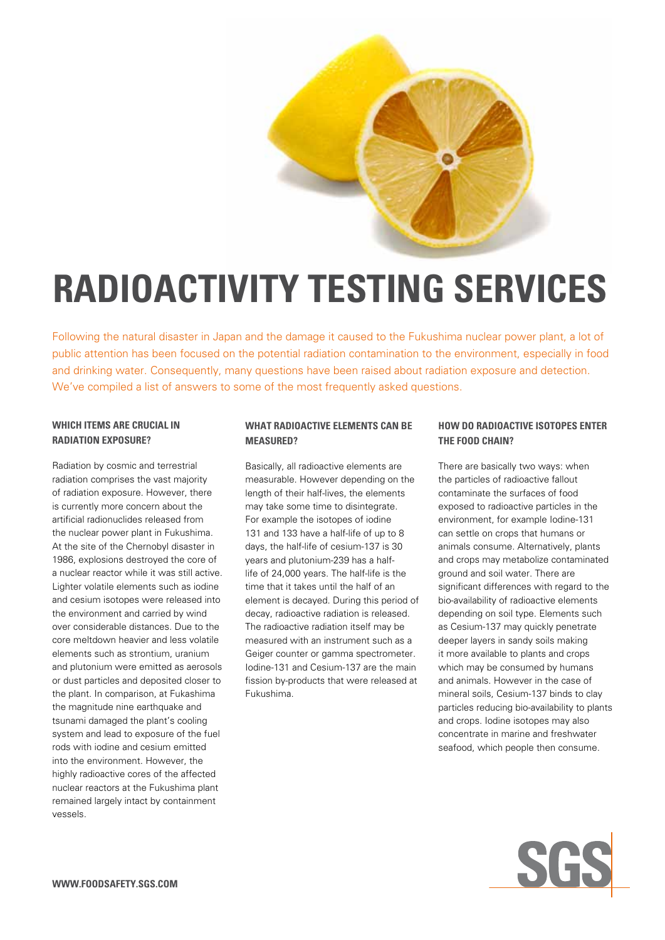

# **radioactivity testing services**

Following the natural disaster in Japan and the damage it caused to the Fukushima nuclear power plant, a lot of public attention has been focused on the potential radiation contamination to the environment, especially in food and drinking water. Consequently, many questions have been raised about radiation exposure and detection. We've compiled a list of answers to some of the most frequently asked questions.

#### **Which items are crucial in radiation exposure?**

Radiation by cosmic and terrestrial radiation comprises the vast majority of radiation exposure. However, there is currently more concern about the artificial radionuclides released from the nuclear power plant in Fukushima. At the site of the Chernobyl disaster in 1986, explosions destroyed the core of a nuclear reactor while it was still active. Lighter volatile elements such as iodine and cesium isotopes were released into the environment and carried by wind over considerable distances. Due to the core meltdown heavier and less volatile elements such as strontium, uranium and plutonium were emitted as aerosols or dust particles and deposited closer to the plant. In comparison, at Fukashima the magnitude nine earthquake and tsunami damaged the plant's cooling system and lead to exposure of the fuel rods with iodine and cesium emitted into the environment. However, the highly radioactive cores of the affected nuclear reactors at the Fukushima plant remained largely intact by containment vessels.

### **What radioactive elements can be measured?**

Basically, all radioactive elements are measurable. However depending on the length of their half-lives, the elements may take some time to disintegrate. For example the isotopes of iodine 131 and 133 have a half-life of up to 8 days, the half-life of cesium-137 is 30 years and plutonium-239 has a halflife of 24,000 years. The half-life is the time that it takes until the half of an element is decayed. During this period of decay, radioactive radiation is released. The radioactive radiation itself may be measured with an instrument such as a Geiger counter or gamma spectrometer. Iodine-131 and Cesium-137 are the main fission by-products that were released at Fukushima.

#### **How do radioactive isotopes enter the food chain?**

There are basically two ways: when the particles of radioactive fallout contaminate the surfaces of food exposed to radioactive particles in the environment, for example Iodine-131 can settle on crops that humans or animals consume. Alternatively, plants and crops may metabolize contaminated ground and soil water. There are significant differences with regard to the bio-availability of radioactive elements depending on soil type. Elements such as Cesium-137 may quickly penetrate deeper layers in sandy soils making it more available to plants and crops which may be consumed by humans and animals. However in the case of mineral soils, Cesium-137 binds to clay particles reducing bio-availability to plants and crops. Iodine isotopes may also concentrate in marine and freshwater seafood, which people then consume.

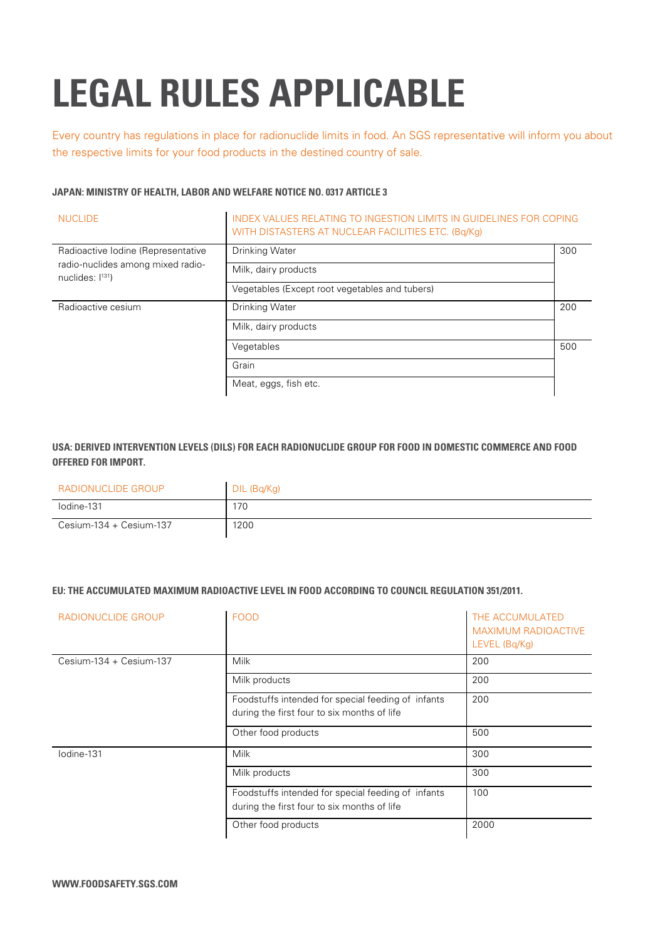# **legal rules applicable**

Every country has regulations in place for radionuclide limits in food. An SGS representative will inform you about the respective limits for your food products in the destined country of sale.

## **Japan: Ministry of Health, Labor and Welfare Notice No. 0317 Article 3**

| <b>NUCLIDE</b>                                                                                   | INDEX VALUES RELATING TO INGESTION LIMITS IN GUIDELINES FOR COPING<br>WITH DISTASTERS AT NUCLEAR FACILITIES ETC. (Bq/Kg) |     |
|--------------------------------------------------------------------------------------------------|--------------------------------------------------------------------------------------------------------------------------|-----|
| Radioactive Iodine (Representative<br>radio-nuclides among mixed radio-<br>nuclides: $ ^{131}$ ) | <b>Drinking Water</b>                                                                                                    | 300 |
|                                                                                                  | Milk, dairy products                                                                                                     |     |
|                                                                                                  | Vegetables (Except root vegetables and tubers)                                                                           |     |
| Radioactive cesium                                                                               | <b>Drinking Water</b>                                                                                                    | 200 |
|                                                                                                  | Milk, dairy products                                                                                                     |     |
|                                                                                                  | Vegetables                                                                                                               | 500 |
|                                                                                                  | Grain                                                                                                                    |     |
|                                                                                                  | Meat, eggs, fish etc.                                                                                                    |     |

# **USA: Derived Intervention Levels (DILs) for each radionuclide group for food in domestic commerce and food offered for import.**

| RADIONUCLIDE GROUP            | DIL (Bg/Kg) |
|-------------------------------|-------------|
| lodine-131                    | 170         |
| $C$ esium-134 + $C$ esium-137 | 1200        |

#### **EU: The accumulated maximum radioactive level in food according to Council Regulation 351/2011.**

| RADIONUCLIDE GROUP        | <b>FOOD</b>                                                                                       | THE ACCUMULATED<br><b>MAXIMUM RADIOACTIVE</b><br>LEVEL (Bq/Kg) |
|---------------------------|---------------------------------------------------------------------------------------------------|----------------------------------------------------------------|
| $Cesium-134 + Cesium-137$ | Milk                                                                                              | 200                                                            |
|                           | Milk products                                                                                     | 200                                                            |
|                           | Foodstuffs intended for special feeding of infants<br>during the first four to six months of life | 200                                                            |
|                           | Other food products                                                                               | 500                                                            |
| lodine-131                | Milk                                                                                              | 300                                                            |
|                           | Milk products                                                                                     | 300                                                            |
|                           | Foodstuffs intended for special feeding of infants<br>during the first four to six months of life | 100                                                            |
|                           | Other food products                                                                               | 2000                                                           |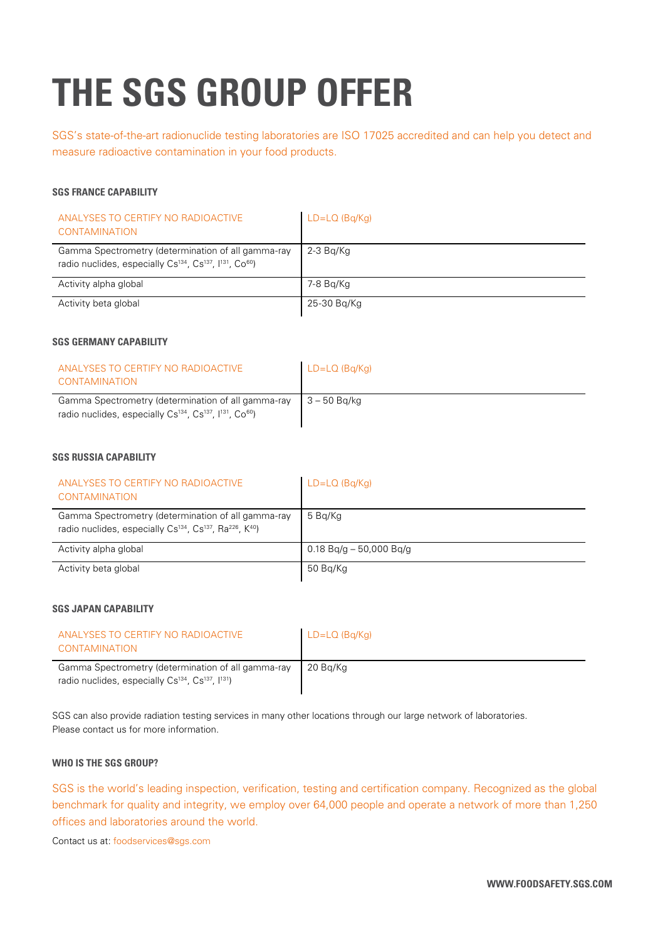# **the sgs group offer**

SGS's state-of-the-art radionuclide testing laboratories are ISO 17025 accredited and can help you detect and measure radioactive contamination in your food products.

#### **SGS FRANCE CAPABILITY**

| ANALYSES TO CERTIFY NO RADIOACTIVE<br><b>CONTAMINATION</b>                                                                                                     | $LD=LO$ (Bg/Kg) |
|----------------------------------------------------------------------------------------------------------------------------------------------------------------|-----------------|
| Gamma Spectrometry (determination of all gamma-ray<br>radio nuclides, especially Cs <sup>134</sup> , Cs <sup>137</sup> , l <sup>131</sup> , Co <sup>60</sup> ) | 2-3 Ba/Ka       |
| Activity alpha global                                                                                                                                          | 7-8 Bg/Kg       |
| Activity beta global                                                                                                                                           | 25-30 Bg/Kg     |

#### **SGS Germany CAPABILITY**

| ANALYSES TO CERTIFY NO RADIOACTIVE<br>CONTAMINATION                                                                                                            | $LD=LO$ (Bg/Kg) |
|----------------------------------------------------------------------------------------------------------------------------------------------------------------|-----------------|
| Gamma Spectrometry (determination of all gamma-ray<br>radio nuclides, especially Cs <sup>134</sup> , Cs <sup>137</sup> , I <sup>131</sup> , Co <sup>60</sup> ) | 3 – 50 Ba/ka    |

## **SGS Russia CAPABILITY**

| ANALYSES TO CERTIFY NO RADIOACTIVE<br><b>CONTAMINATION</b>                                                                                                     | $LD=LO$ (Bg/Kg)           |
|----------------------------------------------------------------------------------------------------------------------------------------------------------------|---------------------------|
| Gamma Spectrometry (determination of all gamma-ray<br>radio nuclides, especially Cs <sup>134</sup> , Cs <sup>137</sup> , Ra <sup>226</sup> , K <sup>40</sup> ) | 5 Bg/Kg                   |
| Activity alpha global                                                                                                                                          | $0.18$ Bg/g - 50,000 Bg/g |
| Activity beta global                                                                                                                                           | 50 Bg/Kg                  |

#### **SGS Japan CAPABILITY**

| ANAI YSES TO CERTIFY NO RADIOACTIVE<br><b>CONTAMINATION</b>                                                                                | $LD=LO$ (Bq/Kg) |
|--------------------------------------------------------------------------------------------------------------------------------------------|-----------------|
| Gamma Spectrometry (determination of all gamma-ray<br>radio nuclides, especially Cs <sup>134</sup> , Cs <sup>137</sup> , <sup>[131</sup> ] | 20 Bg/Kg        |

SGS can also provide radiation testing services in many other locations through our large network of laboratories. Please contact us for more information.

#### **Who is the SGS group?**

SGS is the world's leading inspection, verification, testing and certification company. Recognized as the global benchmark for quality and integrity, we employ over 64,000 people and operate a network of more than 1,250 offices and laboratories around the world.

Contact us at: foodservices@sgs.com